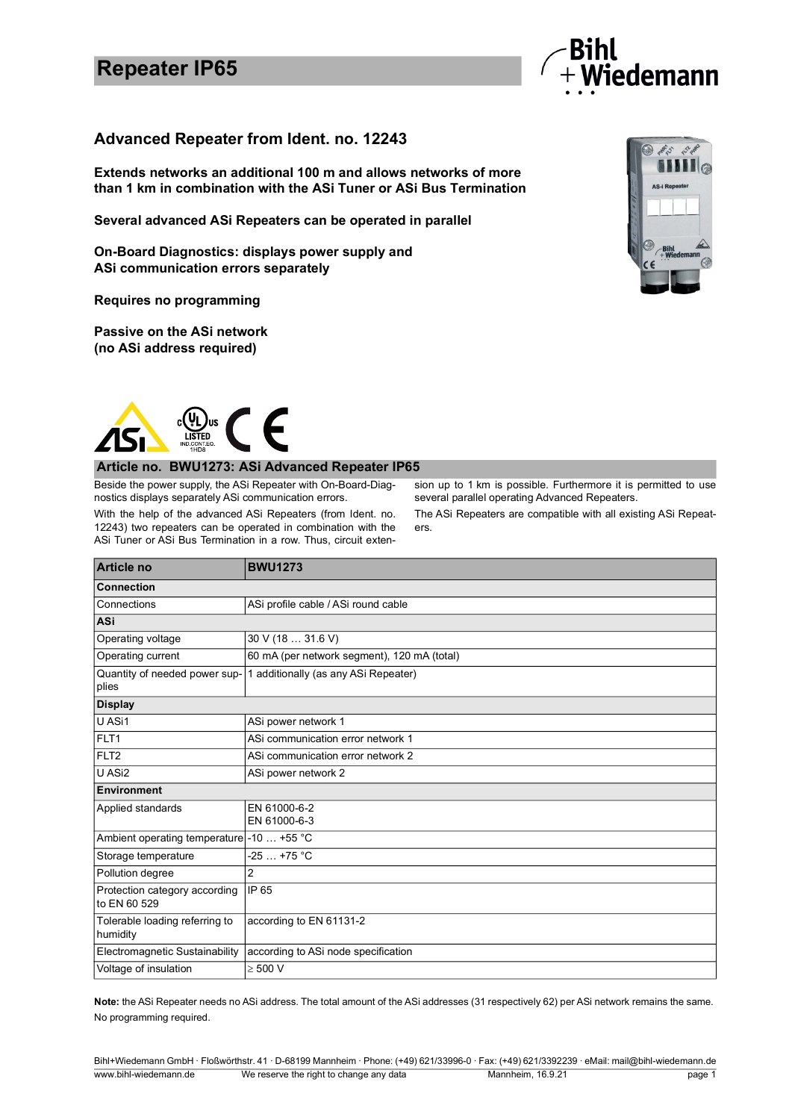## **Repeater IP65**



### **Advanced Repeater from Ident. no. 12243**

**Extends networks an additional 100 m and allows networks of more than 1 km in combination with the ASi Tuner or ASi Bus Termination**

**Several advanced ASi Repeaters can be operated in parallel** 

**On-Board Diagnostics: displays power supply and ASi communication errors separately**

**Requires no programming**

**Passive on the ASi network (no ASi address required)**



#### **Article no. BWU1273: ASi Advanced Repeater IP65**

Beside the power supply, the ASi Repeater with On-Board-Diagnostics displays separately ASi communication errors.

With the help of the advanced ASi Repeaters (from Ident. no. 12243) two repeaters can be operated in combination with the ASi Tuner or ASi Bus Termination in a row. Thus, circuit extension up to 1 km is possible. Furthermore it is permitted to use several parallel operating Advanced Repeaters.

The ASi Repeaters are compatible with all existing ASi Repeaters.

| <b>Article no</b>                             | <b>BWU1273</b>                              |
|-----------------------------------------------|---------------------------------------------|
| <b>Connection</b>                             |                                             |
| Connections                                   | ASi profile cable / ASi round cable         |
| <b>ASi</b>                                    |                                             |
| Operating voltage                             | 30 V (18  31.6 V)                           |
| Operating current                             | 60 mA (per network segment), 120 mA (total) |
| Quantity of needed power sup-<br>plies        | 1 additionally (as any ASi Repeater)        |
| <b>Display</b>                                |                                             |
| U ASi1                                        | ASi power network 1                         |
| FLT <sub>1</sub>                              | ASi communication error network 1           |
| FLT <sub>2</sub>                              | ASi communication error network 2           |
| U ASi2                                        | ASi power network 2                         |
| Environment                                   |                                             |
| Applied standards                             | EN 61000-6-2<br>EN 61000-6-3                |
| Ambient operating temperature -10  +55 °C     |                                             |
| Storage temperature                           | $-25+75 °C$                                 |
| Pollution degree                              | $\overline{2}$                              |
| Protection category according<br>to EN 60 529 | IP 65                                       |
| Tolerable loading referring to<br>humidity    | according to EN 61131-2                     |
| Electromagnetic Sustainability                | according to ASi node specification         |
| Voltage of insulation                         | $\geq 500$ V                                |

**Note:** the ASi Repeater needs no ASi address. The total amount of the ASi addresses (31 respectively 62) per ASi network remains the same. No programming required.



Bihl+Wiedemann GmbH · Floßwörthstr. 41 · D-68199 Mannheim · Phone: (+49) 621/33996-0 · Fax: (+49) 621/3392239 · eMail: mail@bihl-wiedemann.de www.bihl-wiedemann.de We reserve the right to change any data Mannheim, 16.9.21 page 1